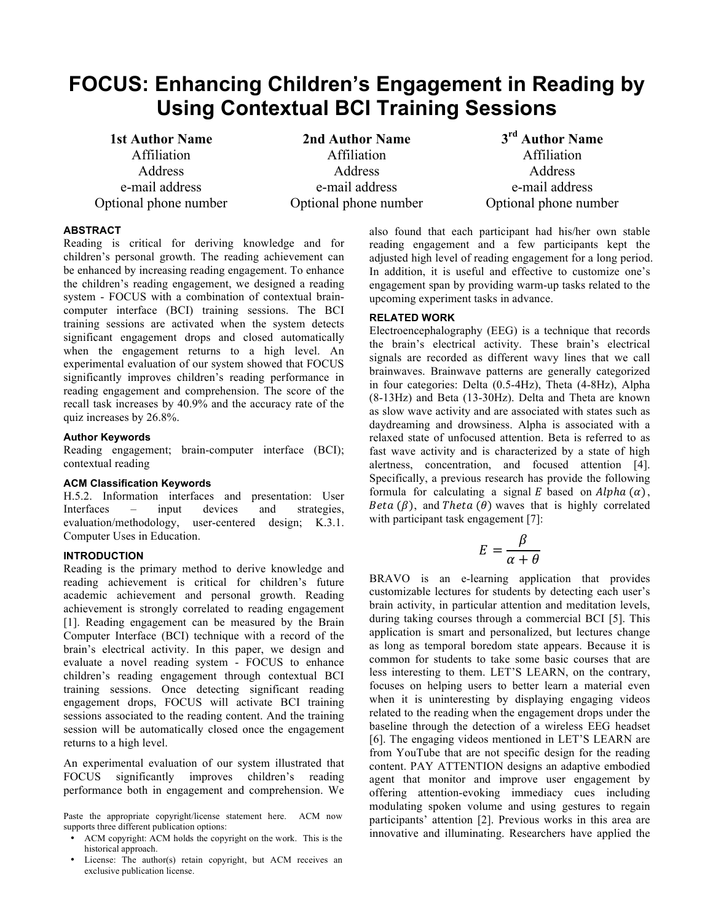# **FOCUS: Enhancing Children's Engagement in Reading by Using Contextual BCI Training Sessions**

**1st Author Name** Affiliation Address e-mail address Optional phone number

**2nd Author Name** Affiliation **Address** e-mail address Optional phone number

**3rd Author Name** Affiliation Address e-mail address Optional phone number

# **ABSTRACT**

Reading is critical for deriving knowledge and for children's personal growth. The reading achievement can be enhanced by increasing reading engagement. To enhance the children's reading engagement, we designed a reading system - FOCUS with a combination of contextual braincomputer interface (BCI) training sessions. The BCI training sessions are activated when the system detects significant engagement drops and closed automatically when the engagement returns to a high level. An experimental evaluation of our system showed that FOCUS significantly improves children's reading performance in reading engagement and comprehension. The score of the recall task increases by 40.9% and the accuracy rate of the quiz increases by 26.8%.

# **Author Keywords**

Reading engagement; brain-computer interface (BCI); contextual reading

# **ACM Classification Keywords**

H.5.2. Information interfaces and presentation: User Interfaces – input devices and strategies, evaluation/methodology, user-centered design; K.3.1. Computer Uses in Education.

# **INTRODUCTION**

Reading is the primary method to derive knowledge and reading achievement is critical for children's future academic achievement and personal growth. Reading achievement is strongly correlated to reading engagement [1]. Reading engagement can be measured by the Brain Computer Interface (BCI) technique with a record of the brain's electrical activity. In this paper, we design and evaluate a novel reading system - FOCUS to enhance children's reading engagement through contextual BCI training sessions. Once detecting significant reading engagement drops, FOCUS will activate BCI training sessions associated to the reading content. And the training session will be automatically closed once the engagement returns to a high level.

An experimental evaluation of our system illustrated that FOCUS significantly improves children's reading performance both in engagement and comprehension. We

Paste the appropriate copyright/license statement here. ACM now supports three different publication options:

- ACM copyright: ACM holds the copyright on the work. This is the historical approach.
- License: The author(s) retain copyright, but ACM receives an exclusive publication license.

also found that each participant had his/her own stable reading engagement and a few participants kept the adjusted high level of reading engagement for a long period. In addition, it is useful and effective to customize one's engagement span by providing warm-up tasks related to the upcoming experiment tasks in advance.

# **RELATED WORK**

Electroencephalography (EEG) is a technique that records the brain's electrical activity. These brain's electrical signals are recorded as different wavy lines that we call brainwaves. Brainwave patterns are generally categorized in four categories: Delta (0.5-4Hz), Theta (4-8Hz), Alpha (8-13Hz) and Beta (13-30Hz). Delta and Theta are known as slow wave activity and are associated with states such as daydreaming and drowsiness. Alpha is associated with a relaxed state of unfocused attention. Beta is referred to as fast wave activity and is characterized by a state of high alertness, concentration, and focused attention [4]. Specifically, a previous research has provide the following formula for calculating a signal E based on  $Alpha(\alpha)$ , Beta  $(\beta)$ , and Theta  $(\theta)$  waves that is highly correlated with participant task engagement [7]:

$$
E = \frac{\beta}{\alpha + \theta}
$$

BRAVO is an e-learning application that provides customizable lectures for students by detecting each user's brain activity, in particular attention and meditation levels, during taking courses through a commercial BCI [5]. This application is smart and personalized, but lectures change as long as temporal boredom state appears. Because it is common for students to take some basic courses that are less interesting to them. LET'S LEARN, on the contrary, focuses on helping users to better learn a material even when it is uninteresting by displaying engaging videos related to the reading when the engagement drops under the baseline through the detection of a wireless EEG headset [6]. The engaging videos mentioned in LET'S LEARN are from YouTube that are not specific design for the reading content. PAY ATTENTION designs an adaptive embodied agent that monitor and improve user engagement by offering attention-evoking immediacy cues including modulating spoken volume and using gestures to regain participants' attention [2]. Previous works in this area are innovative and illuminating. Researchers have applied the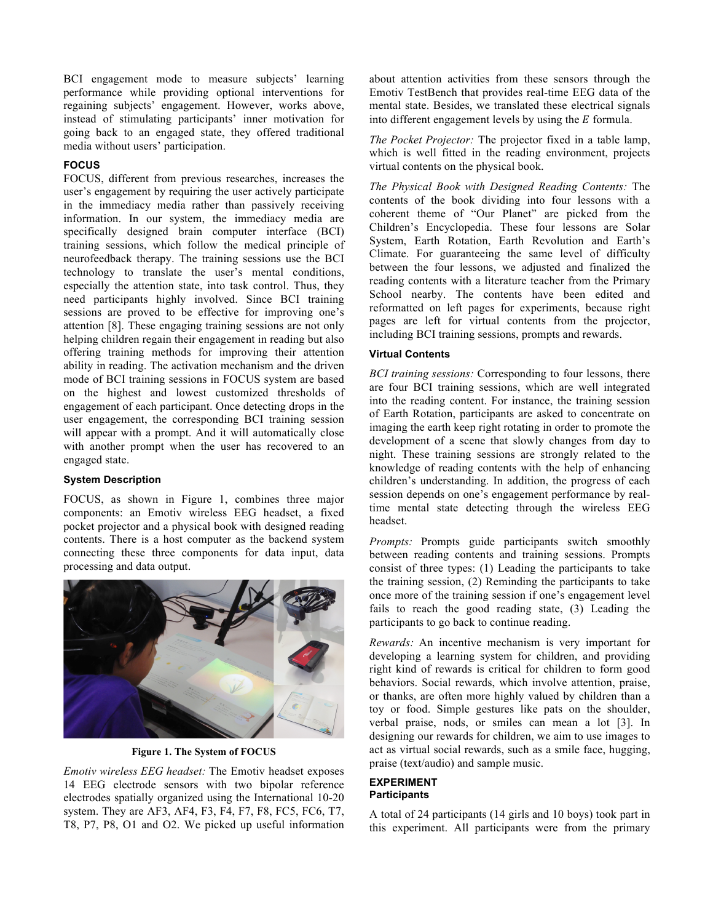BCI engagement mode to measure subjects' learning performance while providing optional interventions for regaining subjects' engagement. However, works above, instead of stimulating participants' inner motivation for going back to an engaged state, they offered traditional media without users' participation.

# **FOCUS**

FOCUS, different from previous researches, increases the user's engagement by requiring the user actively participate in the immediacy media rather than passively receiving information. In our system, the immediacy media are specifically designed brain computer interface (BCI) training sessions, which follow the medical principle of neurofeedback therapy. The training sessions use the BCI technology to translate the user's mental conditions, especially the attention state, into task control. Thus, they need participants highly involved. Since BCI training sessions are proved to be effective for improving one's attention [8]. These engaging training sessions are not only helping children regain their engagement in reading but also offering training methods for improving their attention ability in reading. The activation mechanism and the driven mode of BCI training sessions in FOCUS system are based on the highest and lowest customized thresholds of engagement of each participant. Once detecting drops in the user engagement, the corresponding BCI training session will appear with a prompt. And it will automatically close with another prompt when the user has recovered to an engaged state.

# **System Description**

FOCUS, as shown in Figure 1, combines three major components: an Emotiv wireless EEG headset, a fixed pocket projector and a physical book with designed reading contents. There is a host computer as the backend system connecting these three components for data input, data processing and data output.



**Figure 1. The System of FOCUS**

*Emotiv wireless EEG headset:* The Emotiv headset exposes 14 EEG electrode sensors with two bipolar reference electrodes spatially organized using the International 10-20 system. They are AF3, AF4, F3, F4, F7, F8, FC5, FC6, T7, T8, P7, P8, O1 and O2. We picked up useful information about attention activities from these sensors through the Emotiv TestBench that provides real-time EEG data of the mental state. Besides, we translated these electrical signals into different engagement levels by using the  $E$  formula.

*The Pocket Projector:* The projector fixed in a table lamp, which is well fitted in the reading environment, projects virtual contents on the physical book.

*The Physical Book with Designed Reading Contents:* The contents of the book dividing into four lessons with a coherent theme of "Our Planet" are picked from the Children's Encyclopedia. These four lessons are Solar System, Earth Rotation, Earth Revolution and Earth's Climate. For guaranteeing the same level of difficulty between the four lessons, we adjusted and finalized the reading contents with a literature teacher from the Primary School nearby. The contents have been edited and reformatted on left pages for experiments, because right pages are left for virtual contents from the projector, including BCI training sessions, prompts and rewards.

# **Virtual Contents**

*BCI training sessions:* Corresponding to four lessons, there are four BCI training sessions, which are well integrated into the reading content. For instance, the training session of Earth Rotation, participants are asked to concentrate on imaging the earth keep right rotating in order to promote the development of a scene that slowly changes from day to night. These training sessions are strongly related to the knowledge of reading contents with the help of enhancing children's understanding. In addition, the progress of each session depends on one's engagement performance by realtime mental state detecting through the wireless EEG headset.

*Prompts:* Prompts guide participants switch smoothly between reading contents and training sessions. Prompts consist of three types: (1) Leading the participants to take the training session, (2) Reminding the participants to take once more of the training session if one's engagement level fails to reach the good reading state, (3) Leading the participants to go back to continue reading.

*Rewards:* An incentive mechanism is very important for developing a learning system for children, and providing right kind of rewards is critical for children to form good behaviors. Social rewards, which involve attention, praise, or thanks, are often more highly valued by children than a toy or food. Simple gestures like pats on the shoulder, verbal praise, nods, or smiles can mean a lot [3]. In designing our rewards for children, we aim to use images to act as virtual social rewards, such as a smile face, hugging, praise (text/audio) and sample music.

#### **EXPERIMENT Participants**

A total of 24 participants (14 girls and 10 boys) took part in this experiment. All participants were from the primary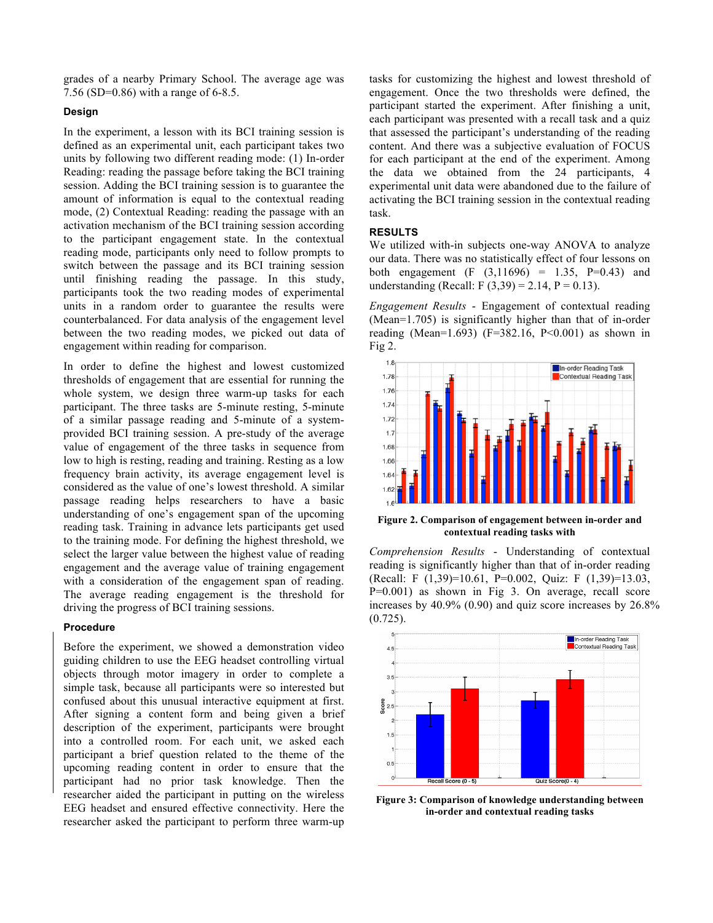grades of a nearby Primary School. The average age was 7.56 (SD=0.86) with a range of 6-8.5.

#### **Design**

In the experiment, a lesson with its BCI training session is defined as an experimental unit, each participant takes two units by following two different reading mode: (1) In-order Reading: reading the passage before taking the BCI training session. Adding the BCI training session is to guarantee the amount of information is equal to the contextual reading mode, (2) Contextual Reading: reading the passage with an activation mechanism of the BCI training session according to the participant engagement state. In the contextual reading mode, participants only need to follow prompts to switch between the passage and its BCI training session until finishing reading the passage. In this study, participants took the two reading modes of experimental units in a random order to guarantee the results were counterbalanced. For data analysis of the engagement level between the two reading modes, we picked out data of engagement within reading for comparison.

In order to define the highest and lowest customized thresholds of engagement that are essential for running the whole system, we design three warm-up tasks for each participant. The three tasks are 5-minute resting, 5-minute of a similar passage reading and 5-minute of a systemprovided BCI training session. A pre-study of the average value of engagement of the three tasks in sequence from low to high is resting, reading and training. Resting as a low frequency brain activity, its average engagement level is considered as the value of one's lowest threshold. A similar passage reading helps researchers to have a basic understanding of one's engagement span of the upcoming reading task. Training in advance lets participants get used to the training mode. For defining the highest threshold, we select the larger value between the highest value of reading engagement and the average value of training engagement with a consideration of the engagement span of reading. The average reading engagement is the threshold for driving the progress of BCI training sessions.

#### **Procedure**

Before the experiment, we showed a demonstration video guiding children to use the EEG headset controlling virtual objects through motor imagery in order to complete a simple task, because all participants were so interested but confused about this unusual interactive equipment at first. After signing a content form and being given a brief description of the experiment, participants were brought into a controlled room. For each unit, we asked each participant a brief question related to the theme of the upcoming reading content in order to ensure that the participant had no prior task knowledge. Then the researcher aided the participant in putting on the wireless EEG headset and ensured effective connectivity. Here the researcher asked the participant to perform three warm-up

tasks for customizing the highest and lowest threshold of engagement. Once the two thresholds were defined, the participant started the experiment. After finishing a unit, each participant was presented with a recall task and a quiz that assessed the participant's understanding of the reading content. And there was a subjective evaluation of FOCUS for each participant at the end of the experiment. Among the data we obtained from the 24 participants, 4 experimental unit data were abandoned due to the failure of activating the BCI training session in the contextual reading task.

## **RESULTS**

We utilized with-in subjects one-way ANOVA to analyze our data. There was no statistically effect of four lessons on both engagement  $(F (3,11696) = 1.35, P=0.43)$  and understanding (Recall: F  $(3,39) = 2.14$ , P = 0.13).

*Engagement Results* - Engagement of contextual reading (Mean=1.705) is significantly higher than that of in-order reading (Mean=1.693) ( $F=382.16$ ,  $P<0.001$ ) as shown in Fig 2.



**Figure 2. Comparison of engagement between in-order and contextual reading tasks with** 

*Comprehension Results* - Understanding of contextual reading is significantly higher than that of in-order reading (Recall: F (1,39)=10.61, P=0.002, Quiz: F (1,39)=13.03, P=0.001) as shown in Fig 3. On average, recall score increases by 40.9% (0.90) and quiz score increases by 26.8% (0.725).



**Figure 3: Comparison of knowledge understanding between in-order and contextual reading tasks**